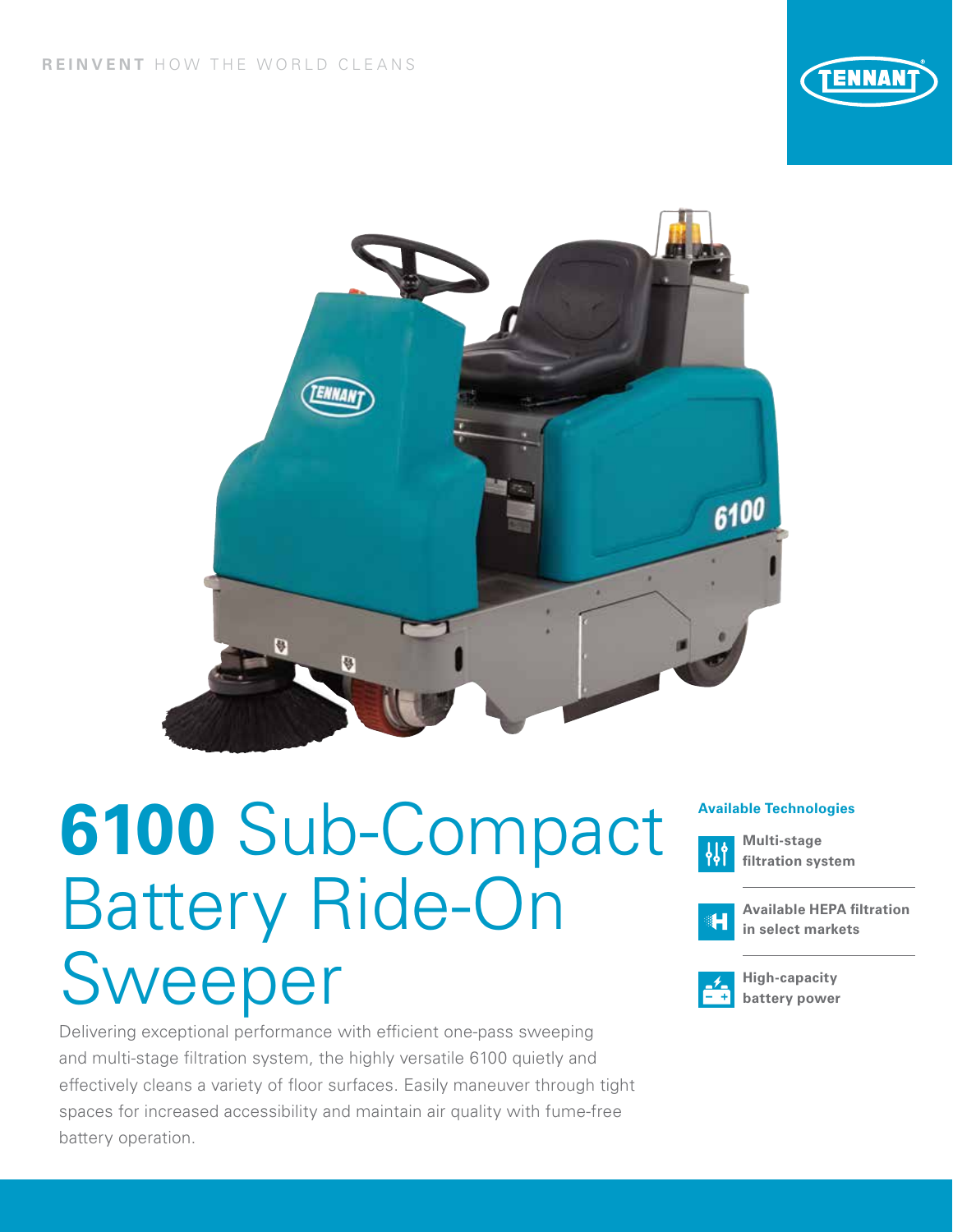



# **6100** Sub-Compact **Available Technologies** Battery Ride-On Sweeper

Delivering exceptional performance with efficient one-pass sweeping and multi-stage filtration system, the highly versatile 6100 quietly and effectively cleans a variety of floor surfaces. Easily maneuver through tight spaces for increased accessibility and maintain air quality with fume-free battery operation.



**Multi-stage filtration system** 



**Available HEPA filtration in select markets**



**High-capacity battery power**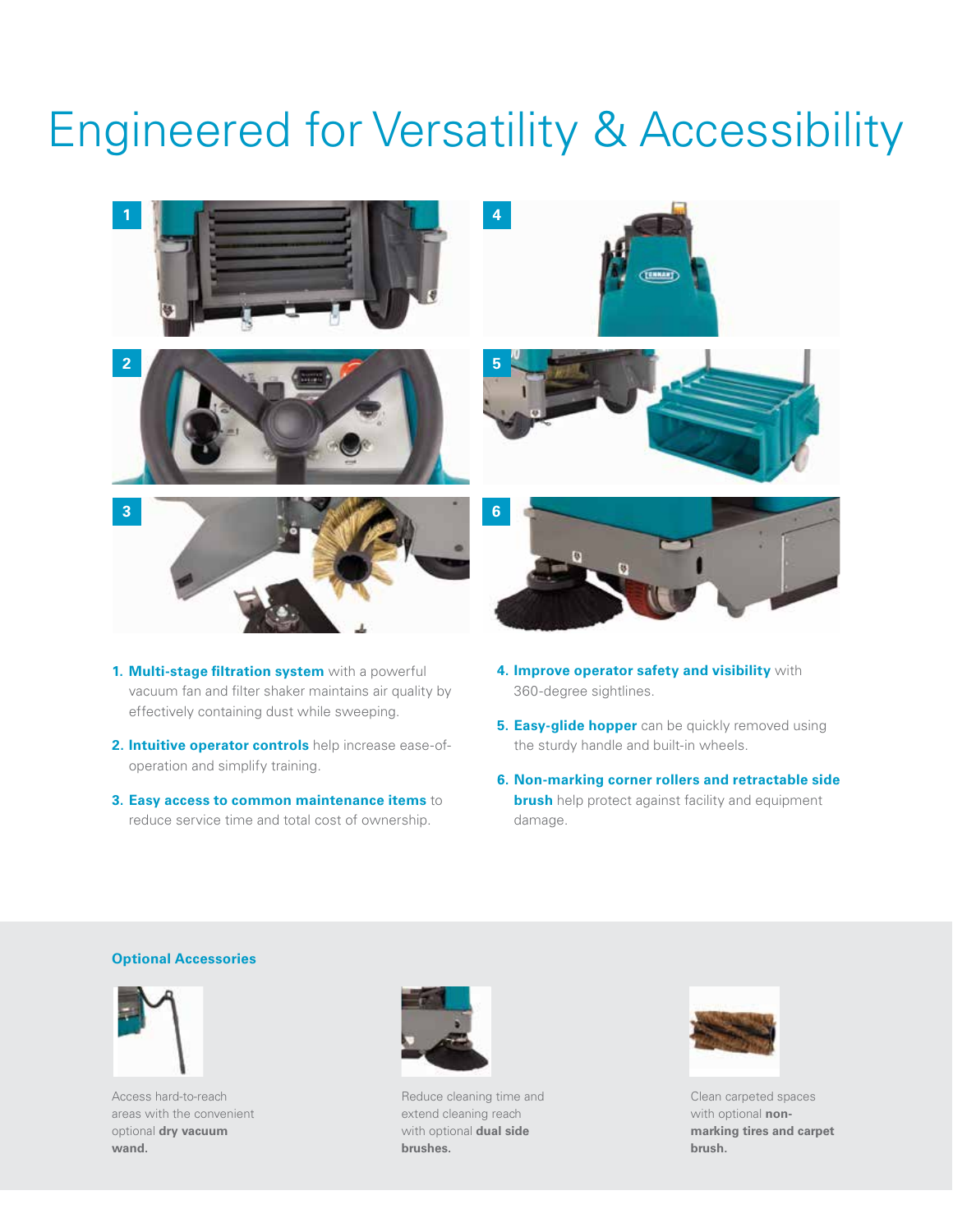## Engineered for Versatility & Accessibility



- **1. Multi-stage filtration system** with a powerful vacuum fan and filter shaker maintains air quality by effectively containing dust while sweeping.
- **2. Intuitive operator controls** help increase ease-ofoperation and simplify training.
- **3. Easy access to common maintenance items** to reduce service time and total cost of ownership.
- **4. Improve operator safety and visibility** with 360-degree sightlines.
- **5. Easy-glide hopper** can be quickly removed using the sturdy handle and built-in wheels.
- **6. Non-marking corner rollers and retractable side brush** help protect against facility and equipment damage.

#### **Optional Accessories**



Access hard-to-reach areas with the convenient optional **dry vacuum wand.**



Reduce cleaning time and extend cleaning reach with optional **dual side brushes.**



Clean carpeted spaces with optional **nonmarking tires and carpet brush.**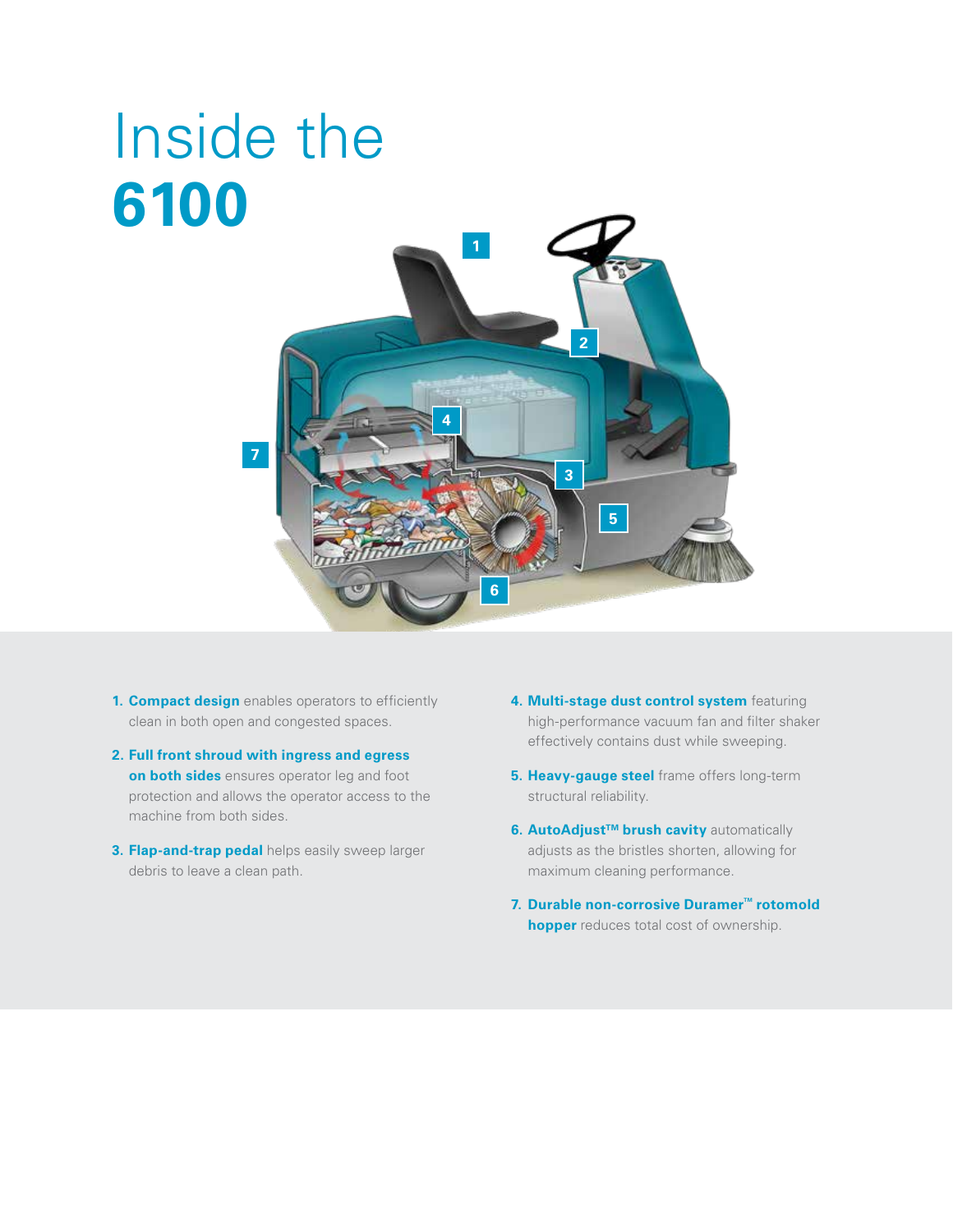## **1 2 3 4 5 6 7** Inside the **6100**

- **1. Compact design** enables operators to efficiently clean in both open and congested spaces.
- **2. Full front shroud with ingress and egress on both sides** ensures operator leg and foot protection and allows the operator access to the machine from both sides.
- **3. Flap-and-trap pedal** helps easily sweep larger debris to leave a clean path.
- **4. Multi-stage dust control system** featuring high-performance vacuum fan and filter shaker effectively contains dust while sweeping.
- **5. Heavy-gauge steel** frame offers long-term structural reliability.
- **6. AutoAdjust™ brush cavity automatically** adjusts as the bristles shorten, allowing for maximum cleaning performance.
- **7.** Durable non-corrosive Duramer<sup>™</sup> rotomold **hopper** reduces total cost of ownership.